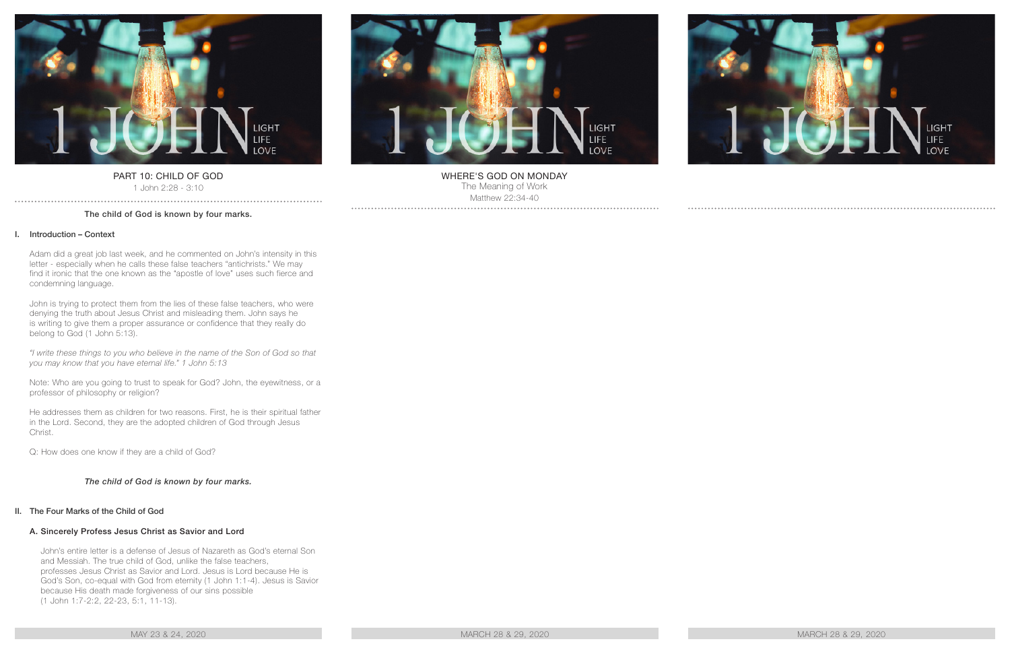

# PART 10: CHILD OF GOD

1 John 2:28 - 3:10

# The child of God is known by four marks.

# I. Introduction – Context

Adam did a great job last week, and he commented on John's intensity in this letter - especially when he calls these false teachers "antichrists." We may find it ironic that the one known as the "apostle of love" uses such fierce and condemning language.

John is trying to protect them from the lies of these false teachers, who were denying the truth about Jesus Christ and misleading them. John says he is writing to give them a proper assurance or confidence that they really do belong to God (1 John 5:13).

*"I write these things to you who believe in the name of the Son of God so that you may know that you have eternal life." 1 John 5:13*

Note: Who are you going to trust to speak for God? John, the eyewitness, or a professor of philosophy or religion?

He addresses them as children for two reasons. First, he is their spiritual father in the Lord. Second, they are the adopted children of God through Jesus Christ.

Q: How does one know if they are a child of God?

# *The child of God is known by four marks.*

#### II. The Four Marks of the Child of God

#### A. Sincerely Profess Jesus Christ as Savior and Lord

John's entire letter is a defense of Jesus of Nazareth as God's eternal Son and Messiah. The true child of God, unlike the false teachers, professes Jesus Christ as Savior and Lord. Jesus is Lord because He is God's Son, co-equal with God from eternity (1 John 1:1-4). Jesus is Savior because His death made forgiveness of our sins possible (1 John 1:7-2:2, 22-23, 5:1, 11-13).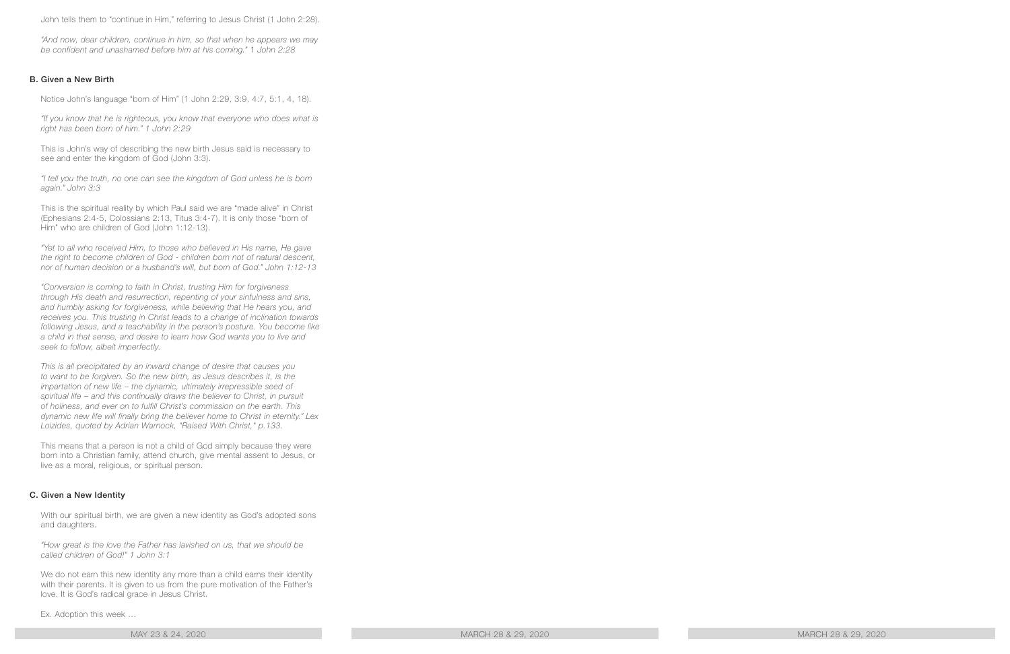John tells them to "continue in Him," referring to Jesus Christ (1 John 2:28).

*"And now, dear children, continue in him, so that when he appears we may be confident and unashamed before him at his coming." 1 John 2:28*

## B. Given a New Birth

Notice John's language "born of Him" (1 John 2:29, 3:9, 4:7, 5:1, 4, 18).

*"If you know that he is righteous, you know that everyone who does what is right has been born of him." 1 John 2:29*

This is John's way of describing the new birth Jesus said is necessary to see and enter the kingdom of God (John 3:3).

*"I tell you the truth, no one can see the kingdom of God unless he is born again." John 3:3*

This is the spiritual reality by which Paul said we are "made alive" in Christ (Ephesians 2:4-5, Colossians 2:13, Titus 3:4-7). It is only those "born of Him" who are children of God (John 1:12-13).

*"Yet to all who received Him, to those who believed in His name, He gave the right to become children of God - children born not of natural descent, nor of human decision or a husband's will, but born of God." John 1:12-13*

*"Conversion is coming to faith in Christ, trusting Him for forgiveness through His death and resurrection, repenting of your sinfulness and sins, and humbly asking for forgiveness, while believing that He hears you, and receives you. This trusting in Christ leads to a change of inclination towards following Jesus, and a teachability in the person's posture. You become like a child in that sense, and desire to learn how God wants you to live and seek to follow, albeit imperfectly.*

*This is all precipitated by an inward change of desire that causes you to want to be forgiven. So the new birth, as Jesus describes it, is the impartation of new life – the dynamic, ultimately irrepressible seed of spiritual life – and this continually draws the believer to Christ, in pursuit of holiness, and ever on to fulfill Christ's commission on the earth. This dynamic new life will finally bring the believer home to Christ in eternity." Lex Loizides, quoted by Adrian Warnock, "Raised With Christ," p.133.*

This means that a person is not a child of God simply because they were born into a Christian family, attend church, give mental assent to Jesus, or live as a moral, religious, or spiritual person.

#### C. Given a New Identity

With our spiritual birth, we are given a new identity as God's adopted sons and daughters.

*"How great is the love the Father has lavished on us, that we should be called children of God!" 1 John 3:1*

We do not earn this new identity any more than a child earns their identity with their parents. It is given to us from the pure motivation of the Father's love. It is God's radical grace in Jesus Christ.

Ex. Adoption this week …

MAY 23 & 24, 2020 MARCH 28 & 29, 2020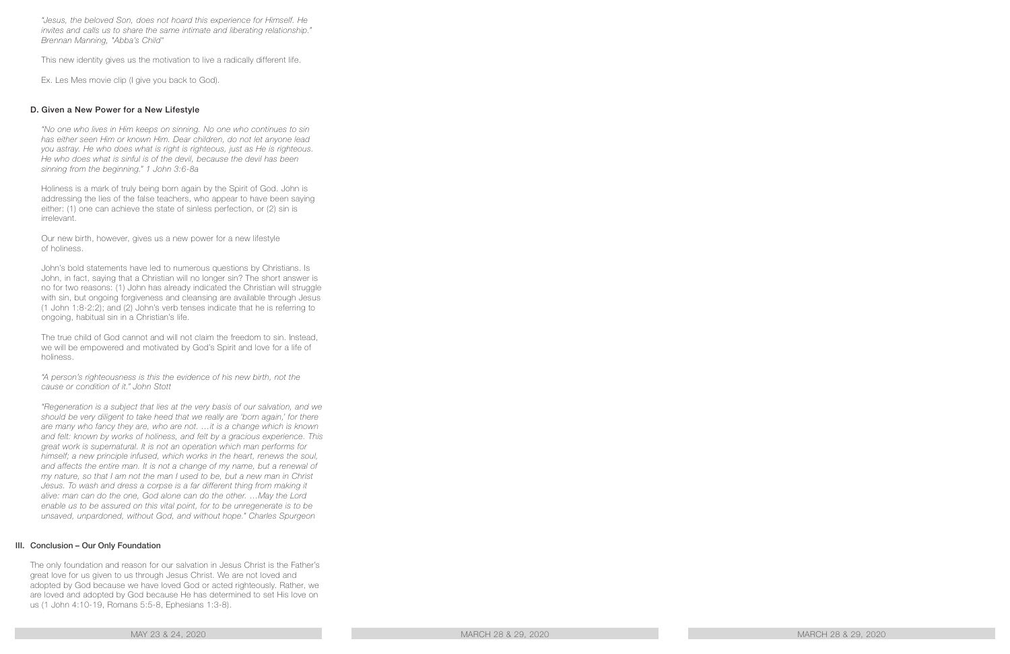*"Jesus, the beloved Son, does not hoard this experience for Himself. He invites and calls us to share the same intimate and liberating relationship." Brennan Manning, "Abba's Child"*

This new identity gives us the motivation to live a radically different life.

Ex. Les Mes movie clip (I give you back to God).

## D. Given a New Power for a New Lifestyle

*"No one who lives in Him keeps on sinning. No one who continues to sin has either seen Him or known Him. Dear children, do not let anyone lead you astray. He who does what is right is righteous, just as He is righteous. He who does what is sinful is of the devil, because the devil has been sinning from the beginning." 1 John 3:6-8a*

Holiness is a mark of truly being born again by the Spirit of God. John is addressing the lies of the false teachers, who appear to have been saying either: (1) one can achieve the state of sinless perfection, or (2) sin is irrelevant.

Our new birth, however, gives us a new power for a new lifestyle of holiness.

John's bold statements have led to numerous questions by Christians. Is John, in fact, saying that a Christian will no longer sin? The short answer is no for two reasons: (1) John has already indicated the Christian will struggle with sin, but ongoing forgiveness and cleansing are available through Jesus (1 John 1:8-2:2); and (2) John's verb tenses indicate that he is referring to ongoing, habitual sin in a Christian's life.

The true child of God cannot and will not claim the freedom to sin. Instead, we will be empowered and motivated by God's Spirit and love for a life of holiness.

*"A person's righteousness is this the evidence of his new birth, not the cause or condition of it." John Stott*

*"Regeneration is a subject that lies at the very basis of our salvation, and we should be very diligent to take heed that we really are 'born again,' for there are many who fancy they are, who are not. …it is a change which is known and felt: known by works of holiness, and felt by a gracious experience. This great work is supernatural. It is not an operation which man performs for himself; a new principle infused, which works in the heart, renews the soul, and affects the entire man. It is not a change of my name, but a renewal of my nature, so that I am not the man I used to be, but a new man in Christ*  Jesus. To wash and dress a corpse is a far different thing from making it *alive: man can do the one, God alone can do the other. …May the Lord enable us to be assured on this vital point, for to be unregenerate is to be unsaved, unpardoned, without God, and without hope." Charles Spurgeon*

#### III. Conclusion – Our Only Foundation

The only foundation and reason for our salvation in Jesus Christ is the Father's great love for us given to us through Jesus Christ. We are not loved and adopted by God because we have loved God or acted righteously. Rather, we are loved and adopted by God because He has determined to set His love on us (1 John 4:10-19, Romans 5:5-8, Ephesians 1:3-8).